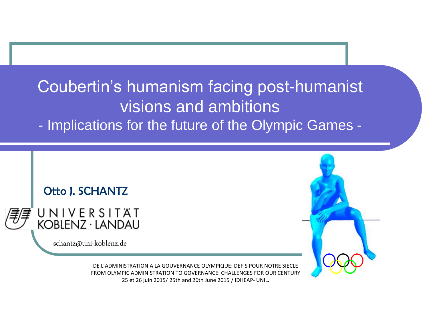#### Coubertin's humanism facing post-humanist visions and ambitions

- Implications for the future of the Olympic Games -



FROM OLYMPIC ADMINISTRATION TO GOVERNANCE: CHALLENGES FOR OUR CENTURY 25 et 26 juin 2015/ 25th and 26th June 2015 / IDHEAP- UNIL.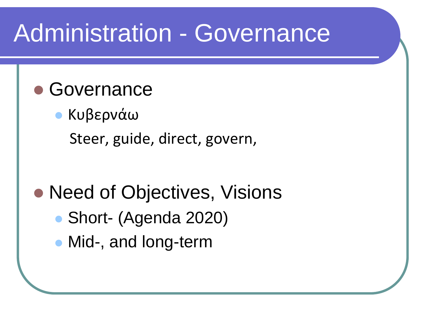#### Administration - Governance

#### Governance

 Κυβερνάω Steer, guide, direct, govern,

#### • Need of Objectives, Visions

- Short- (Agenda 2020)
- Mid-, and long-term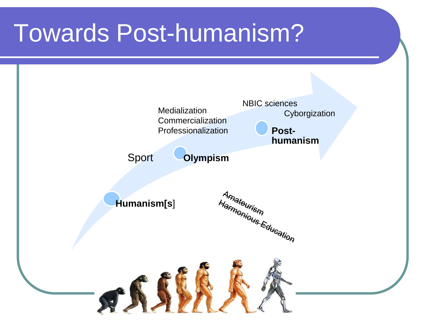#### Towards Post-humanism?

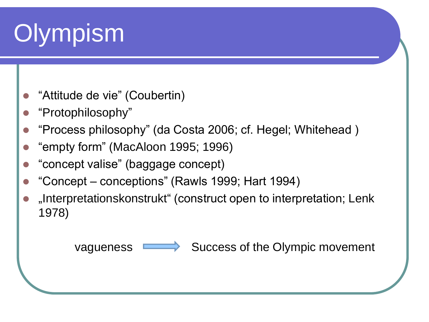# **Olympism**

- "Attitude de vie" (Coubertin)
- "Protophilosophy"
- "Process philosophy" (da Costa 2006; cf. Hegel; Whitehead )
- "empty form" (MacAloon 1995; 1996)
- "concept valise" (baggage concept)
- "Concept conceptions" (Rawls 1999; Hart 1994)
- "Interpretationskonstrukt" (construct open to interpretation; Lenk 1978)

vagueness  $\longrightarrow$  Success of the Olympic movement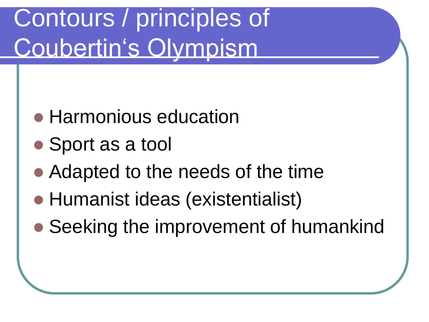# Contours / principles of Coubertin's Olympism

- Harmonious education
- Sport as a tool
- Adapted to the needs of the time
- Humanist ideas (existentialist)
- Seeking the improvement of humankind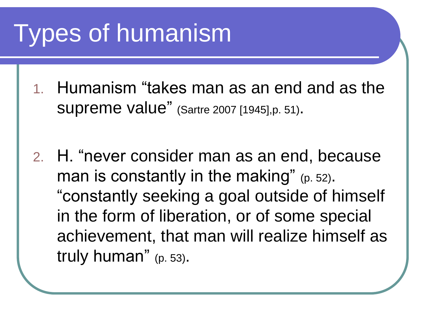# Types of humanism

- 1. Humanism "takes man as an end and as the supreme value" (Sartre 2007 [1945],p. 51).
- 2. H. "never consider man as an end, because man is constantly in the making" (p. 52). "constantly seeking a goal outside of himself in the form of liberation, or of some special achievement, that man will realize himself as truly human" (p. 53).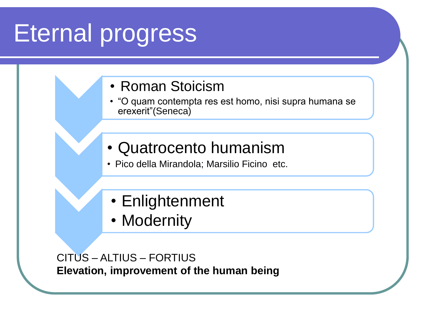### Eternal progress



- "O quam contempta res est homo, nisi supra humana se erexerit"(Seneca)
- Quatrocento humanism
- Pico della Mirandola; Marsilio Ficino etc.
- Enlightenment
- Modernity

CITUS – ALTIUS – FORTIUS **Elevation, improvement of the human being**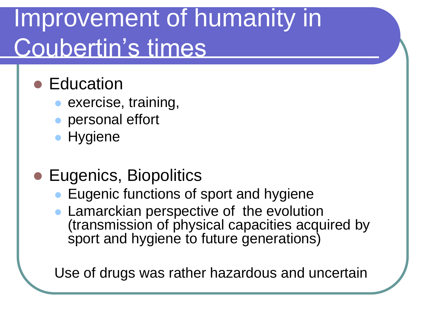### Improvement of humanity in Coubertin's times

#### **• Education**

- exercise, training,
- personal effort
- **Hygiene**
- **Eugenics, Biopolitics** 
	- **Eugenic functions of sport and hygiene**
	- **Lamarckian perspective of the evolution** (transmission of physical capacities acquired by sport and hygiene to future generations)

Use of drugs was rather hazardous and uncertain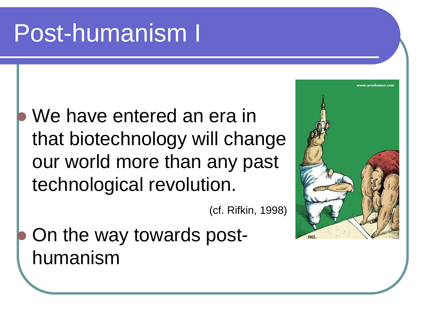#### Post-humanism I

#### We have entered an era in that biotechnology will change our world more than any past technological revolution.

(cf. Rifkin, 1998)

 On the way towards posthumanism

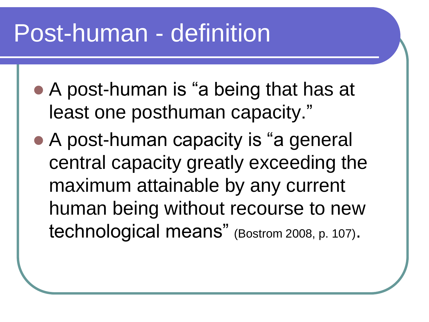#### Post-human - definition

- A post-human is "a being that has at least one posthuman capacity."
- A post-human capacity is "a general central capacity greatly exceeding the maximum attainable by any current human being without recourse to new technological means" (Bostrom 2008, p. 107).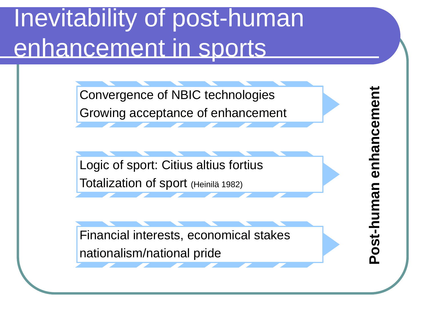# Inevitability of post-human enhancement in sports

Convergence of NBIC technologies Growing acceptance of enhancement

Logic of sport: Citius altius fortius Totalization of sport (Heinilä 1982)

Financial interests, economical stakes nationalism/national pride

**-human enhancement**enhancemen **Post**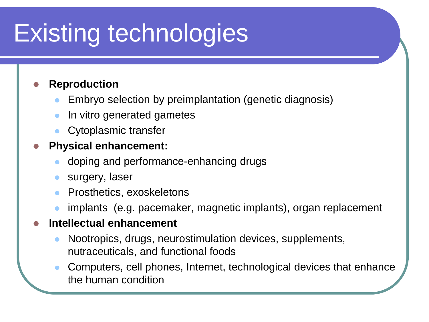# Existing technologies

#### **Reproduction**

- Embryo selection by preimplantation (genetic diagnosis)
- In vitro generated gametes
- Cytoplasmic transfer

#### **Physical enhancement:**

- doping and performance-enhancing drugs
- surgery, laser
- Prosthetics, exoskeletons
- implants (e.g. pacemaker, magnetic implants), organ replacement

#### **Intellectual enhancement**

- Nootropics, drugs, neurostimulation devices, supplements, nutraceuticals, and functional foods
- Computers, cell phones, Internet, technological devices that enhance the human condition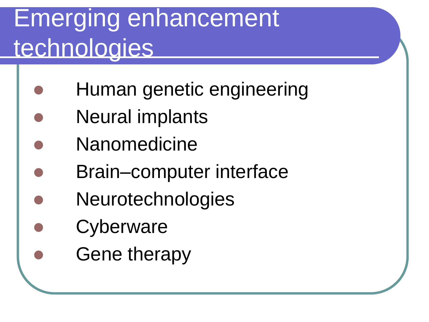# Emerging enhancement technologies

- Human genetic engineering
- Neural implants
- **Nanomedicine**
- Brain–computer interface
- **Neurotechnologies**
- **Cyberware** 
	- Gene therapy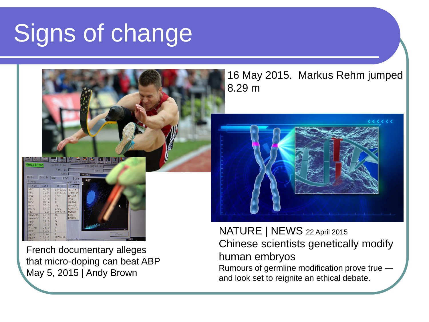# Signs of change



French documentary alleges that micro-doping can beat ABP May 5, 2015 | Andy Brown

#### 16 May 2015. Markus Rehm jumped 8.29 m



NATURE | NEWS 22 April 2015 Chinese scientists genetically modify human embryos Rumours of germline modification prove true and look set to reignite an ethical debate.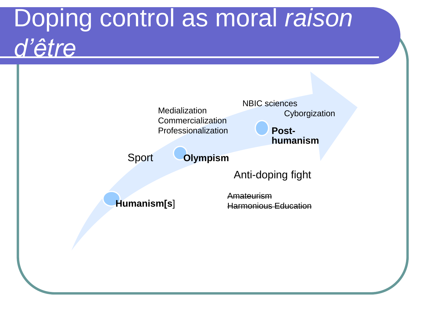### Doping control as moral *raison d'être*

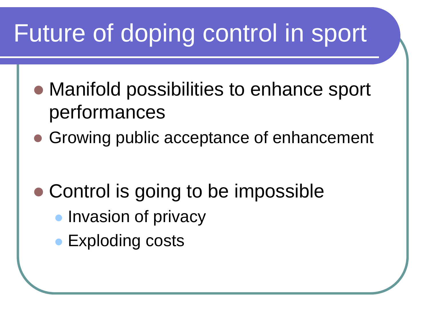### Future of doping control in sport

- Manifold possibilities to enhance sport performances
- Growing public acceptance of enhancement

- Control is going to be impossible
	- **Invasion of privacy**
	- Exploding costs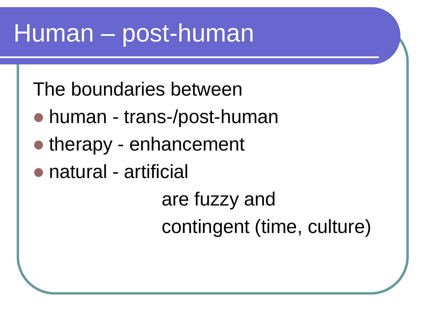#### Human – post-human

The boundaries between

- human trans-/post-human
- therapy enhancement
- natural artificial

are fuzzy and contingent (time, culture)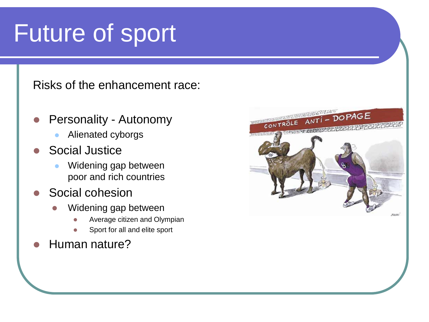#### Future of sport

Risks of the enhancement race:

- Personality Autonomy
	- Alienated cyborgs
- Social Justice
	- Widening gap between poor and rich countries
- Social cohesion
	- Widening gap between
		- Average citizen and Olympian
		- Sport for all and elite sport
- Human nature?

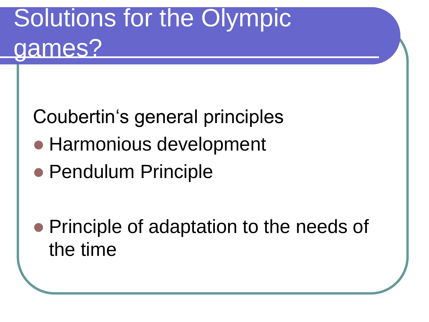# Solutions for the Olympic games?

Coubertin's general principles

- Harmonious development
- Pendulum Principle

• Principle of adaptation to the needs of the time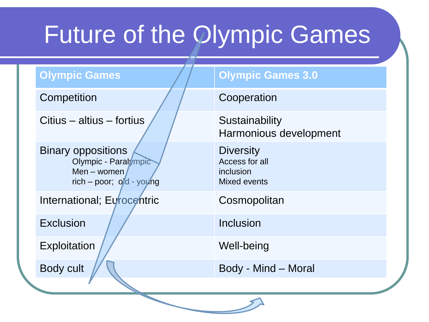# Future of the Olympic Games

Citius – altius – fortius  $\sqrt{2\pi}$  Sustainability

Binary oppositions Olympic - Paralympic Men – women rich – poor; old - young

International; Eurocentric Cosmopolitan

Exclusion / / Inclusion

Exploitation / / Well-being

#### **Olympic Games Allen Accords** Olympic Games 3.0

#### Competition and Cooperation

Harmonious development

**Diversity** Access for all inclusion Mixed events

Body cult  $\sqrt{N}$  Body - Mind – Moral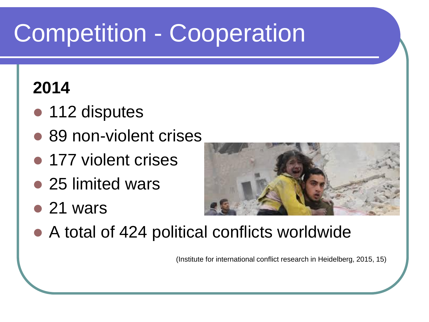# Competition - Cooperation

#### **2014**

- 112 disputes
- 89 non-violent crises
- 177 violent crises
- 25 limited wars
- 21 wars



● A total of 424 political conflicts worldwide

(Institute for international conflict research in Heidelberg, 2015, 15)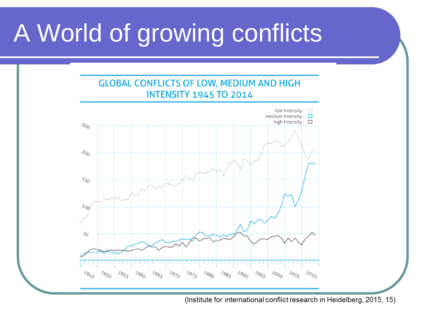# A World of growing conflicts



(Institute for international conflict research in Heidelberg, 2015, 15)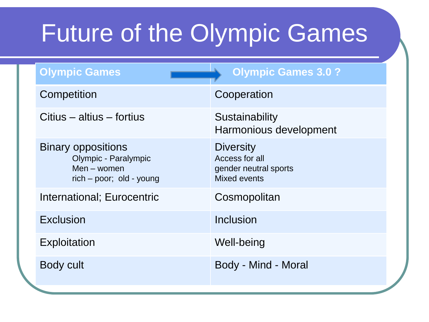## Future of the Olympic Games

| <b>Olympic Games</b>                                                                         | <b>Olympic Games 3.0 ?</b>                                                         |
|----------------------------------------------------------------------------------------------|------------------------------------------------------------------------------------|
| Competition                                                                                  | Cooperation                                                                        |
| Citius – altius – fortius                                                                    | Sustainability<br>Harmonious development                                           |
| <b>Binary oppositions</b><br>Olympic - Paralympic<br>Men - women<br>rich – poor; old - young | <b>Diversity</b><br>Access for all<br>gender neutral sports<br><b>Mixed events</b> |
| International; Eurocentric                                                                   | Cosmopolitan                                                                       |
| Exclusion                                                                                    | <b>Inclusion</b>                                                                   |
| Exploitation                                                                                 | Well-being                                                                         |
| <b>Body cult</b>                                                                             | Body - Mind - Moral                                                                |